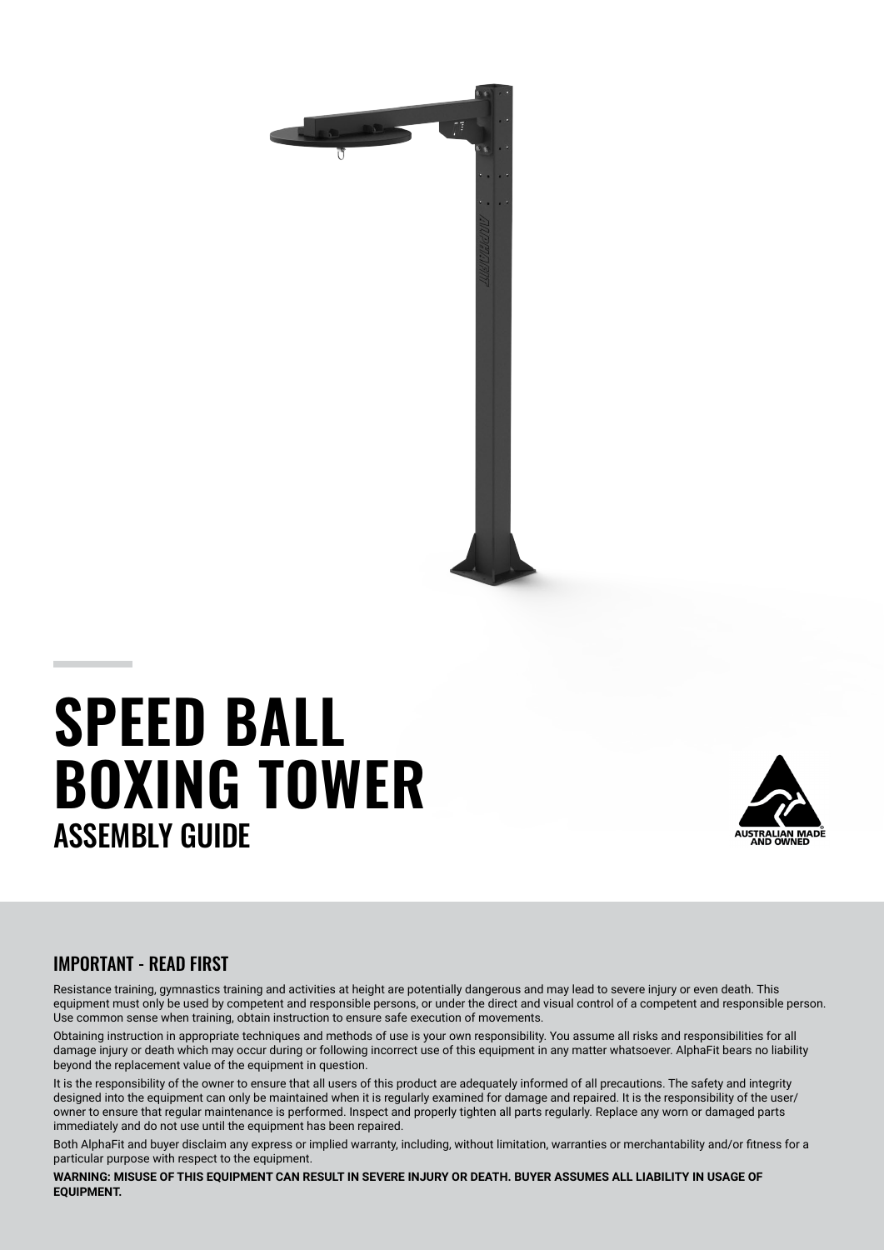

# **SPEED BALL BOXING TOWER** ASSEMBLY GUIDE



## IMPORTANT - READ FIRST

Resistance training, gymnastics training and activities at height are potentially dangerous and may lead to severe injury or even death. This equipment must only be used by competent and responsible persons, or under the direct and visual control of a competent and responsible person. Use common sense when training, obtain instruction to ensure safe execution of movements.

Obtaining instruction in appropriate techniques and methods of use is your own responsibility. You assume all risks and responsibilities for all damage injury or death which may occur during or following incorrect use of this equipment in any matter whatsoever. AlphaFit bears no liability beyond the replacement value of the equipment in question.

It is the responsibility of the owner to ensure that all users of this product are adequately informed of all precautions. The safety and integrity designed into the equipment can only be maintained when it is regularly examined for damage and repaired. It is the responsibility of the user/ owner to ensure that regular maintenance is performed. Inspect and properly tighten all parts regularly. Replace any worn or damaged parts immediately and do not use until the equipment has been repaired.

Both AlphaFit and buyer disclaim any express or implied warranty, including, without limitation, warranties or merchantability and/or fitness for a particular purpose with respect to the equipment.

WARNING: MISUSE OF THIS EQUIPMENT CAN RESULT IN SEVERE INJURY OR DEATH. BUYER ASSUMES ALL LIABILITY IN USAGE OF **EQUIPMENT.**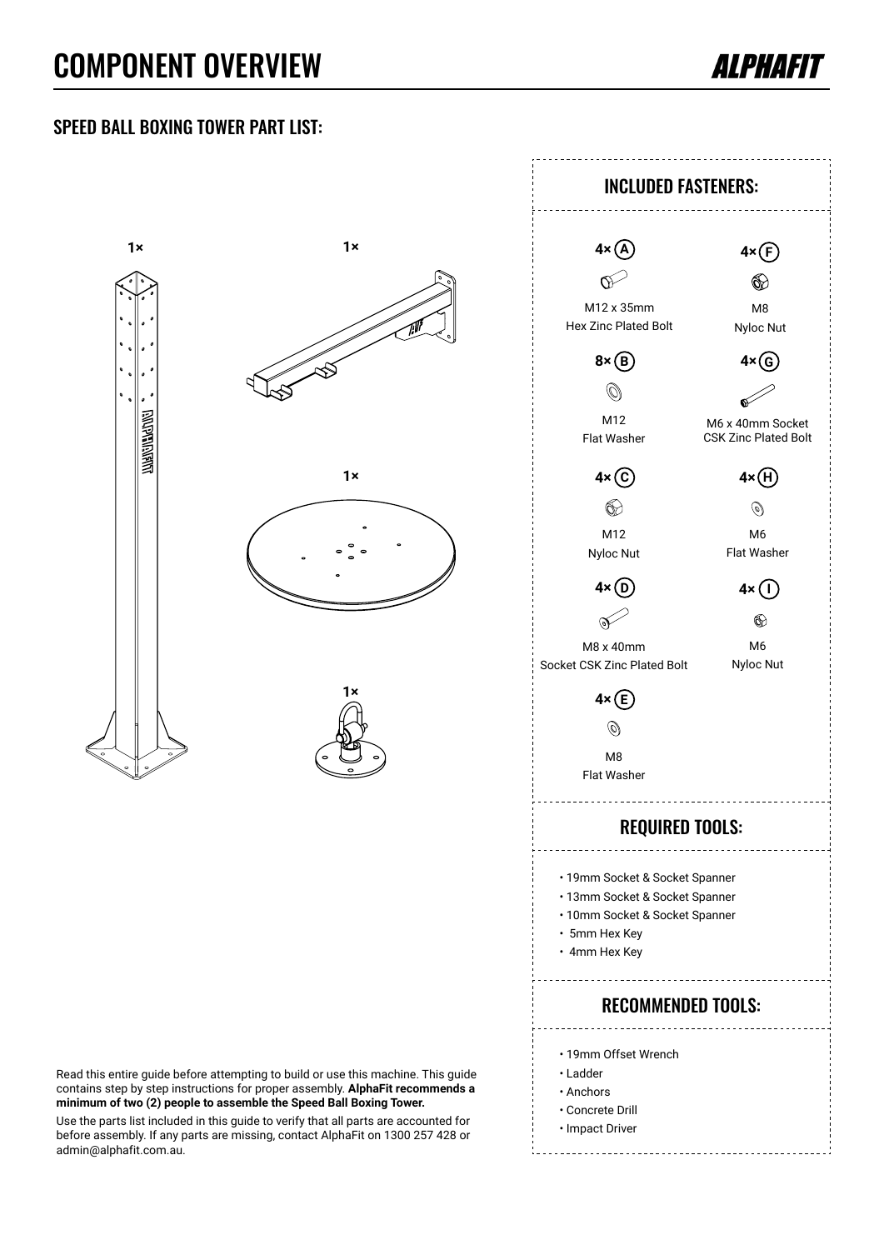# COMPONENT OVERVIEW



#### SPEED BALL BOXING TOWER PART LIST:



Read this entire guide before attempting to build or use this machine. This guide contains step by step instructions for proper assembly. **AlphaFit recommends a minimum of two (2) people to assemble the Speed Ball Boxing Tower.**

Use the parts list included in this guide to verify that all parts are accounted for before assembly. If any parts are missing, contact AlphaFit on 1300 257 428 or admin@alphafit.com.au.

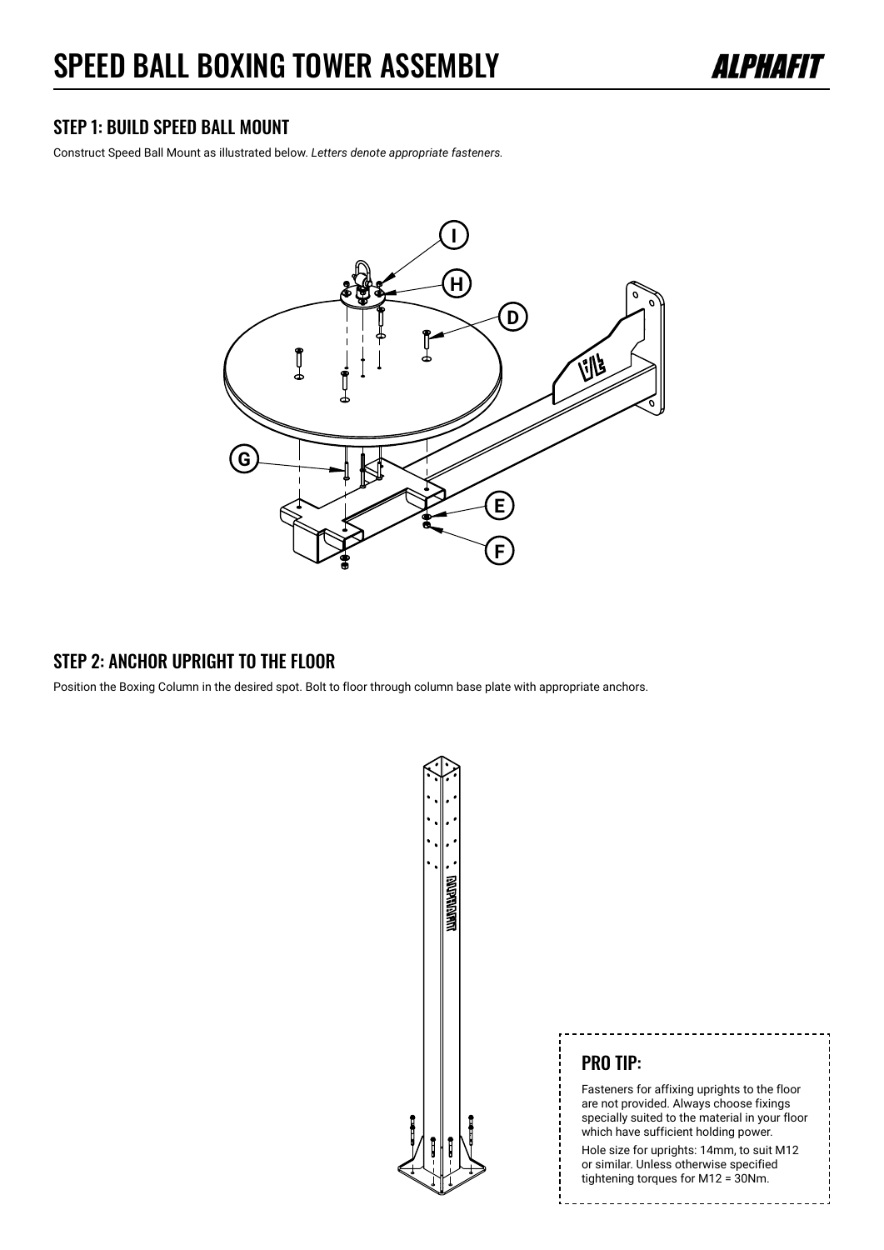

#### STEP 1: BUILD SPEED BALL MOUNT

Construct Speed Ball Mount as illustrated below. *Letters denote appropriate fasteners.*



#### STEP 2: ANCHOR UPRIGHT TO THE FLOOR

Position the Boxing Column in the desired spot. Bolt to floor through column base plate with appropriate anchors.



#### PRO TIP:

Fasteners for affixing uprights to the floor are not provided. Always choose fixings specially suited to the material in your floor which have sufficient holding power. Hole size for uprights: 14mm, to suit M12 or similar. Unless otherwise specified tightening torques for M12 = 30Nm.

------------------------